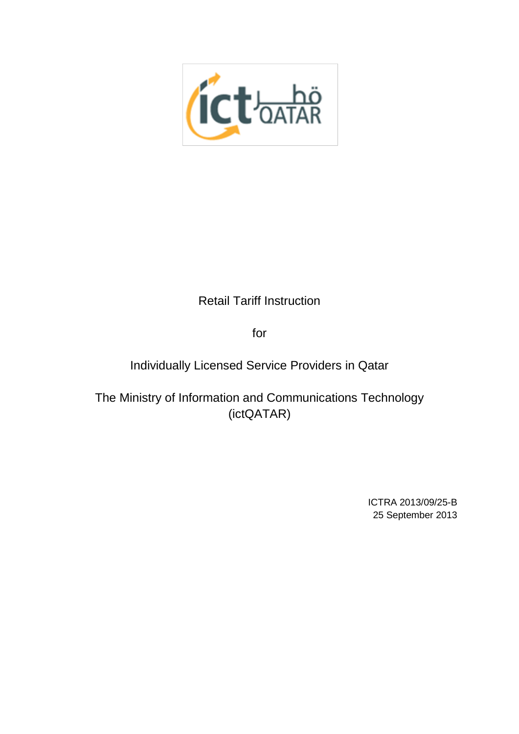

# Retail Tariff Instruction

for

Individually Licensed Service Providers in Qatar

The Ministry of Information and Communications Technology (ictQATAR)

> ICTRA 2013/09/25-B 25 September 2013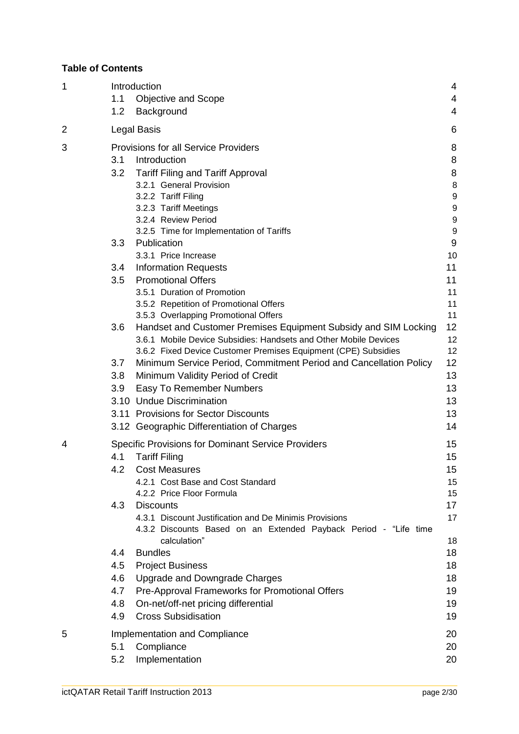### **Table of Contents**

| $\mathbf 1$ |                                     | Introduction                                                                       | 4              |  |
|-------------|-------------------------------------|------------------------------------------------------------------------------------|----------------|--|
|             | 1.1                                 | <b>Objective and Scope</b>                                                         | 4              |  |
|             | 1.2                                 | Background                                                                         | $\overline{4}$ |  |
| 2           |                                     | Legal Basis                                                                        | 6              |  |
| 3           |                                     | <b>Provisions for all Service Providers</b>                                        | 8              |  |
|             | 3.1                                 | Introduction                                                                       | 8              |  |
|             | 3.2                                 | <b>Tariff Filing and Tariff Approval</b>                                           | 8              |  |
|             |                                     | 3.2.1 General Provision                                                            | 8              |  |
|             |                                     | 3.2.2 Tariff Filing                                                                | 9              |  |
|             |                                     | 3.2.3 Tariff Meetings                                                              | 9              |  |
|             |                                     | 3.2.4 Review Period                                                                | 9              |  |
|             |                                     | 3.2.5 Time for Implementation of Tariffs                                           | 9              |  |
|             | 3.3                                 | Publication                                                                        | $9$            |  |
|             |                                     | 3.3.1 Price Increase                                                               | 10             |  |
|             | 3.4                                 | <b>Information Requests</b>                                                        | 11             |  |
|             | 3.5                                 | <b>Promotional Offers</b>                                                          | 11             |  |
|             |                                     | 3.5.1 Duration of Promotion                                                        | 11             |  |
|             |                                     | 3.5.2 Repetition of Promotional Offers                                             | 11             |  |
|             |                                     | 3.5.3 Overlapping Promotional Offers                                               | 11             |  |
|             | 3.6                                 | Handset and Customer Premises Equipment Subsidy and SIM Locking                    | 12             |  |
|             |                                     | 3.6.1 Mobile Device Subsidies: Handsets and Other Mobile Devices                   | 12<br>12       |  |
|             | 3.7                                 | 3.6.2 Fixed Device Customer Premises Equipment (CPE) Subsidies                     | 12             |  |
|             | 3.8                                 | Minimum Service Period, Commitment Period and Cancellation Policy                  | 13             |  |
|             |                                     | Minimum Validity Period of Credit                                                  | 13             |  |
|             | 3.9                                 | Easy To Remember Numbers<br>3.10 Undue Discrimination                              | 13             |  |
|             |                                     |                                                                                    |                |  |
|             |                                     | 3.11 Provisions for Sector Discounts<br>3.12 Geographic Differentiation of Charges | 13<br>14       |  |
| 4           |                                     | <b>Specific Provisions for Dominant Service Providers</b>                          | 15             |  |
|             | 4.1                                 | <b>Tariff Filing</b>                                                               | 15             |  |
|             | 4.2                                 | <b>Cost Measures</b>                                                               | 15             |  |
|             |                                     | 4.2.1 Cost Base and Cost Standard                                                  | 15             |  |
|             |                                     | 4.2.2 Price Floor Formula                                                          | 15             |  |
|             | 4.3                                 | <b>Discounts</b>                                                                   | 17             |  |
|             |                                     | 4.3.1 Discount Justification and De Minimis Provisions                             | 17             |  |
|             |                                     | 4.3.2 Discounts Based on an Extended Payback Period - "Life time                   |                |  |
|             |                                     | calculation"                                                                       | 18             |  |
|             | 4.4                                 | <b>Bundles</b>                                                                     | 18             |  |
|             | 4.5                                 | <b>Project Business</b>                                                            | 18             |  |
|             | 4.6                                 | Upgrade and Downgrade Charges                                                      | 18             |  |
|             | 4.7                                 | Pre-Approval Frameworks for Promotional Offers                                     | 19             |  |
|             | 4.8                                 | On-net/off-net pricing differential                                                | 19             |  |
|             | 4.9                                 | <b>Cross Subsidisation</b>                                                         | 19             |  |
| 5           | Implementation and Compliance<br>20 |                                                                                    |                |  |
|             | 5.1                                 | Compliance                                                                         | 20             |  |
|             | 5.2                                 | Implementation                                                                     | 20             |  |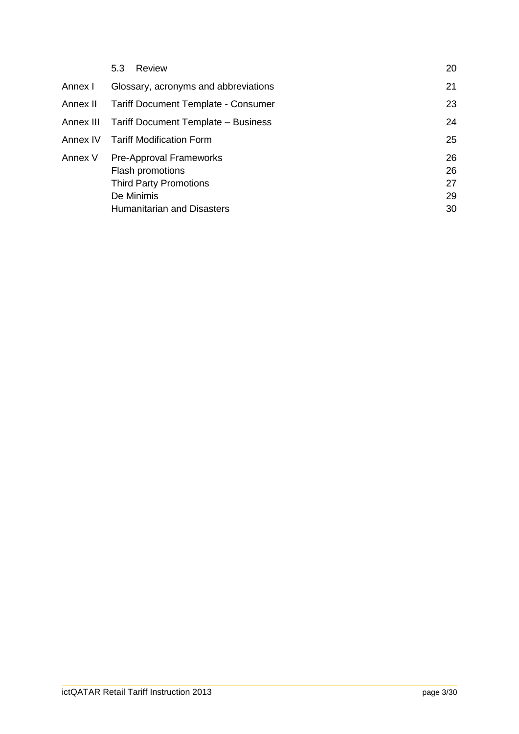|           | Review<br>5.3                              | 20 |
|-----------|--------------------------------------------|----|
| Annex I   | Glossary, acronyms and abbreviations       | 21 |
| Annex II  | <b>Tariff Document Template - Consumer</b> | 23 |
| Annex III | Tariff Document Template - Business        | 24 |
| Annex IV  | <b>Tariff Modification Form</b>            | 25 |
| Annex V   | <b>Pre-Approval Frameworks</b>             | 26 |
|           | Flash promotions                           | 26 |
|           | <b>Third Party Promotions</b>              | 27 |
|           | De Minimis                                 | 29 |
|           | <b>Humanitarian and Disasters</b>          | 30 |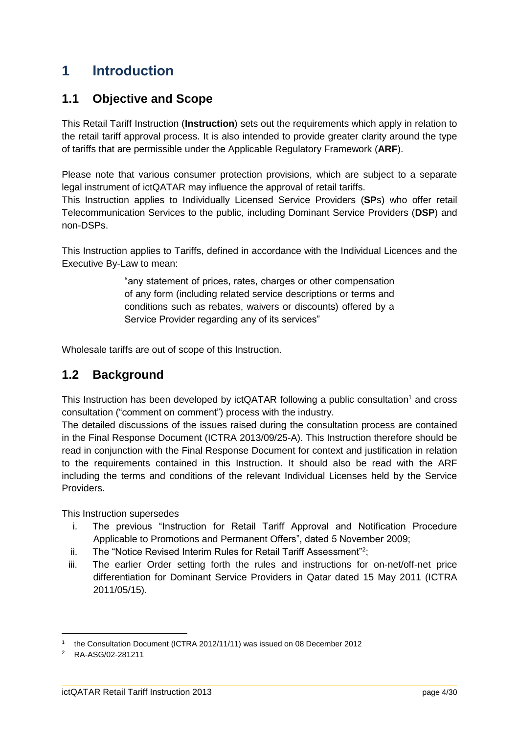# <span id="page-3-0"></span>**1 Introduction**

## <span id="page-3-1"></span>**1.1 Objective and Scope**

This Retail Tariff Instruction (**Instruction**) sets out the requirements which apply in relation to the retail tariff approval process. It is also intended to provide greater clarity around the type of tariffs that are permissible under the Applicable Regulatory Framework (**ARF**).

Please note that various consumer protection provisions, which are subject to a separate legal instrument of ictQATAR may influence the approval of retail tariffs.

This Instruction applies to Individually Licensed Service Providers (**SP**s) who offer retail Telecommunication Services to the public, including Dominant Service Providers (**DSP**) and non-DSPs.

This Instruction applies to Tariffs, defined in accordance with the Individual Licences and the Executive By-Law to mean:

> "any statement of prices, rates, charges or other compensation of any form (including related service descriptions or terms and conditions such as rebates, waivers or discounts) offered by a Service Provider regarding any of its services"

Wholesale tariffs are out of scope of this Instruction.

## <span id="page-3-2"></span>**1.2 Background**

This Instruction has been developed by ictQATAR following a public consultation<sup>1</sup> and cross consultation ("comment on comment") process with the industry.

The detailed discussions of the issues raised during the consultation process are contained in the Final Response Document (ICTRA 2013/09/25-A). This Instruction therefore should be read in conjunction with the Final Response Document for context and justification in relation to the requirements contained in this Instruction. It should also be read with the ARF including the terms and conditions of the relevant Individual Licenses held by the Service Providers.

This Instruction supersedes

- i. The previous "Instruction for Retail Tariff Approval and Notification Procedure Applicable to Promotions and Permanent Offers", dated 5 November 2009;
- ii. The "Notice Revised Interim Rules for Retail Tariff Assessment"<sup>2</sup>;
- iii. The earlier Order setting forth the rules and instructions for on-net/off-net price differentiation for Dominant Service Providers in Qatar dated 15 May 2011 (ICTRA 2011/05/15).

<sup>1</sup> the Consultation Document (ICTRA 2012/11/11) was issued on 08 December 2012

<sup>2</sup> RA-ASG/02-281211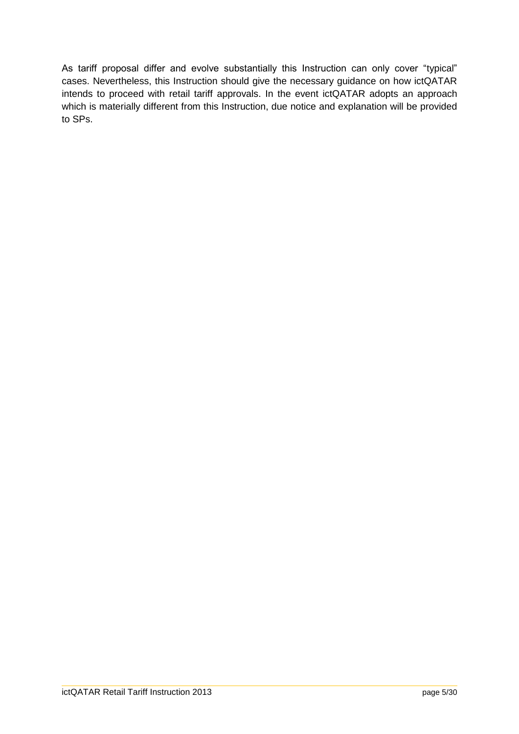As tariff proposal differ and evolve substantially this Instruction can only cover "typical" cases. Nevertheless, this Instruction should give the necessary guidance on how ictQATAR intends to proceed with retail tariff approvals. In the event ictQATAR adopts an approach which is materially different from this Instruction, due notice and explanation will be provided to SPs.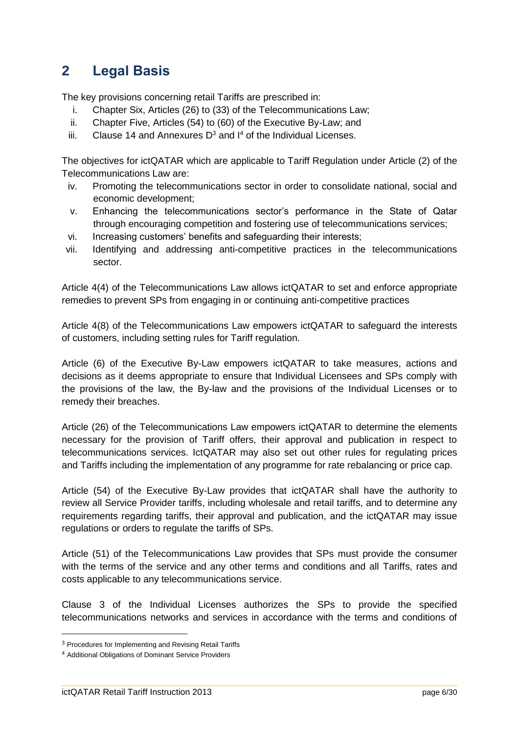# <span id="page-5-0"></span>**2 Legal Basis**

The key provisions concerning retail Tariffs are prescribed in:

- i. Chapter Six, Articles (26) to (33) of the Telecommunications Law;
- ii. Chapter Five, Articles (54) to (60) of the Executive By-Law; and
- iii. Clause 14 and Annexures  $D^3$  and  $I^4$  of the Individual Licenses.

The objectives for ictQATAR which are applicable to Tariff Regulation under Article (2) of the Telecommunications Law are:

- iv. Promoting the telecommunications sector in order to consolidate national, social and economic development;
- v. Enhancing the telecommunications sector's performance in the State of Qatar through encouraging competition and fostering use of telecommunications services;
- vi. Increasing customers' benefits and safeguarding their interests;
- vii. Identifying and addressing anti-competitive practices in the telecommunications sector.

Article 4(4) of the Telecommunications Law allows ictQATAR to set and enforce appropriate remedies to prevent SPs from engaging in or continuing anti-competitive practices

Article 4(8) of the Telecommunications Law empowers ictQATAR to safeguard the interests of customers, including setting rules for Tariff regulation.

Article (6) of the Executive By-Law empowers ictQATAR to take measures, actions and decisions as it deems appropriate to ensure that Individual Licensees and SPs comply with the provisions of the law, the By-law and the provisions of the Individual Licenses or to remedy their breaches.

Article (26) of the Telecommunications Law empowers ictQATAR to determine the elements necessary for the provision of Tariff offers, their approval and publication in respect to telecommunications services. IctQATAR may also set out other rules for regulating prices and Tariffs including the implementation of any programme for rate rebalancing or price cap.

Article (54) of the Executive By-Law provides that ictQATAR shall have the authority to review all Service Provider tariffs, including wholesale and retail tariffs, and to determine any requirements regarding tariffs, their approval and publication, and the ictQATAR may issue regulations or orders to regulate the tariffs of SPs.

Article (51) of the Telecommunications Law provides that SPs must provide the consumer with the terms of the service and any other terms and conditions and all Tariffs, rates and costs applicable to any telecommunications service.

Clause 3 of the Individual Licenses authorizes the SPs to provide the specified telecommunications networks and services in accordance with the terms and conditions of

<sup>3</sup> Procedures for Implementing and Revising Retail Tariffs

<sup>4</sup> Additional Obligations of Dominant Service Providers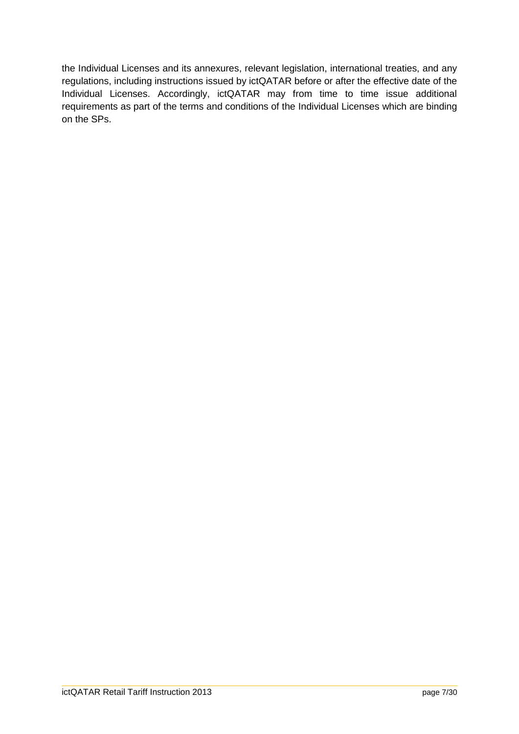the Individual Licenses and its annexures, relevant legislation, international treaties, and any regulations, including instructions issued by ictQATAR before or after the effective date of the Individual Licenses. Accordingly, ictQATAR may from time to time issue additional requirements as part of the terms and conditions of the Individual Licenses which are binding on the SPs.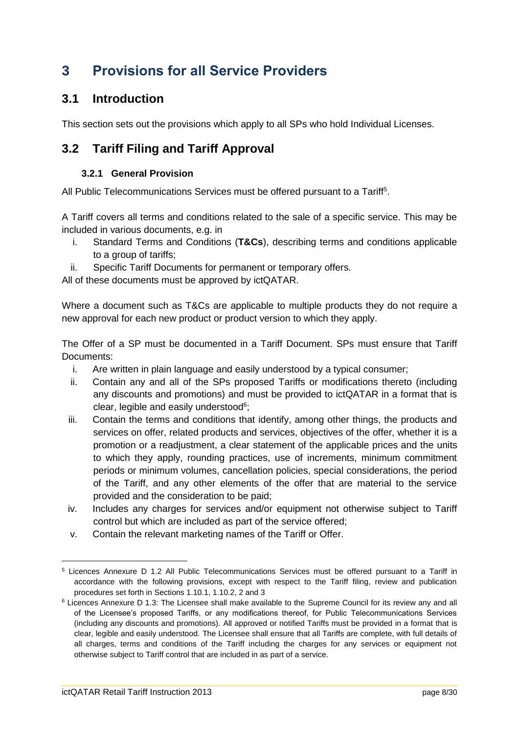# <span id="page-7-0"></span>**3 Provisions for all Service Providers**

## <span id="page-7-1"></span>**3.1 Introduction**

This section sets out the provisions which apply to all SPs who hold Individual Licenses.

## <span id="page-7-2"></span>**3.2 Tariff Filing and Tariff Approval**

#### **3.2.1 General Provision**

<span id="page-7-3"></span>All Public Telecommunications Services must be offered pursuant to a Tariff<sup>5</sup>.

A Tariff covers all terms and conditions related to the sale of a specific service. This may be included in various documents, e.g. in

- i. Standard Terms and Conditions (**T&Cs**), describing terms and conditions applicable to a group of tariffs;
- ii. Specific Tariff Documents for permanent or temporary offers.

All of these documents must be approved by ictQATAR.

Where a document such as T&Cs are applicable to multiple products they do not require a new approval for each new product or product version to which they apply.

The Offer of a SP must be documented in a Tariff Document. SPs must ensure that Tariff Documents:

- i. Are written in plain language and easily understood by a typical consumer;
- ii. Contain any and all of the SPs proposed Tariffs or modifications thereto (including any discounts and promotions) and must be provided to ictQATAR in a format that is clear, legible and easily understood<sup>6</sup>;
- iii. Contain the terms and conditions that identify, among other things, the products and services on offer, related products and services, objectives of the offer, whether it is a promotion or a readjustment, a clear statement of the applicable prices and the units to which they apply, rounding practices, use of increments, minimum commitment periods or minimum volumes, cancellation policies, special considerations, the period of the Tariff, and any other elements of the offer that are material to the service provided and the consideration to be paid;
- iv. Includes any charges for services and/or equipment not otherwise subject to Tariff control but which are included as part of the service offered;
- v. Contain the relevant marketing names of the Tariff or Offer.

<sup>5</sup> Licences Annexure D 1.2 All Public Telecommunications Services must be offered pursuant to a Tariff in accordance with the following provisions, except with respect to the Tariff filing, review and publication procedures set forth in Sections 1.10.1, 1.10.2, 2 and 3

<sup>6</sup> Licences Annexure D 1.3: The Licensee shall make available to the Supreme Council for its review any and all of the Licensee's proposed Tariffs, or any modifications thereof, for Public Telecommunications Services (including any discounts and promotions). All approved or notified Tariffs must be provided in a format that is clear, legible and easily understood. The Licensee shall ensure that all Tariffs are complete, with full details of all charges, terms and conditions of the Tariff including the charges for any services or equipment not otherwise subject to Tariff control that are included in as part of a service.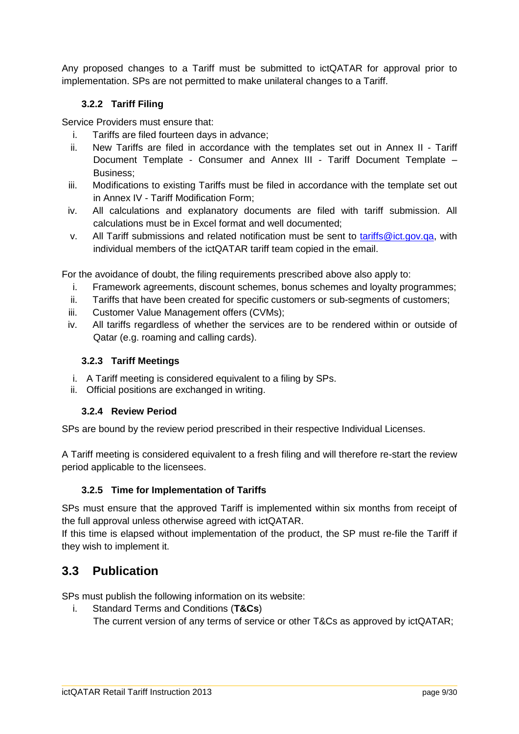Any proposed changes to a Tariff must be submitted to ictQATAR for approval prior to implementation. SPs are not permitted to make unilateral changes to a Tariff.

#### <span id="page-8-0"></span>**3.2.2 Tariff Filing**

Service Providers must ensure that:

- i. Tariffs are filed fourteen days in advance;
- ii. New Tariffs are filed in accordance with the templates set out in [Annex II](#page-22-0) [Tariff](#page-22-0)  [Document Template](#page-22-0) - Consumer and [Annex III](#page-23-0) - [Tariff Document Template –](#page-23-0) [Business;](#page-23-0)
- iii. Modifications to existing Tariffs must be filed in accordance with the template set out in [Annex IV](#page-24-0) - [Tariff Modification Form;](#page-24-0)
- iv. All calculations and explanatory documents are filed with tariff submission. All calculations must be in Excel format and well documented;
- v. All Tariff submissions and related notification must be sent to [tariffs@ict.gov.qa,](mailto:tariffs@ict.gov.qa) with individual members of the ictQATAR tariff team copied in the email.

For the avoidance of doubt, the filing requirements prescribed above also apply to:

- i. Framework agreements, discount schemes, bonus schemes and loyalty programmes;
- ii. Tariffs that have been created for specific customers or sub-segments of customers;
- iii. Customer Value Management offers (CVMs);
- iv. All tariffs regardless of whether the services are to be rendered within or outside of Qatar (e.g. roaming and calling cards).

#### <span id="page-8-1"></span>**3.2.3 Tariff Meetings**

- i. A Tariff meeting is considered equivalent to a filing by SPs.
- <span id="page-8-2"></span>ii. Official positions are exchanged in writing.

#### **3.2.4 Review Period**

SPs are bound by the review period prescribed in their respective Individual Licenses.

A Tariff meeting is considered equivalent to a fresh filing and will therefore re-start the review period applicable to the licensees.

#### <span id="page-8-3"></span>**3.2.5 Time for Implementation of Tariffs**

SPs must ensure that the approved Tariff is implemented within six months from receipt of the full approval unless otherwise agreed with ictQATAR.

If this time is elapsed without implementation of the product, the SP must re-file the Tariff if they wish to implement it.

## <span id="page-8-4"></span>**3.3 Publication**

SPs must publish the following information on its website:

i. Standard Terms and Conditions (**T&Cs**)

The current version of any terms of service or other T&Cs as approved by ictQATAR;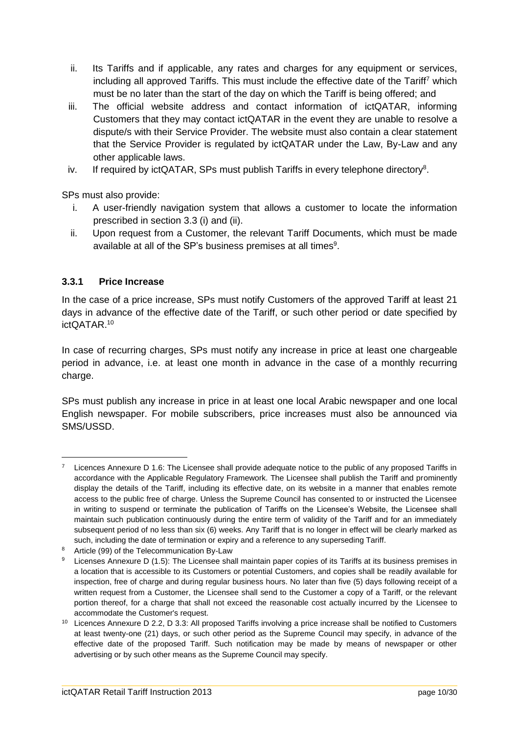- ii. Its Tariffs and if applicable, any rates and charges for any equipment or services, including all approved Tariffs. This must include the effective date of the Tariff<sup>7</sup> which must be no later than the start of the day on which the Tariff is being offered; and
- iii. The official website address and contact information of ictQATAR, informing Customers that they may contact ictQATAR in the event they are unable to resolve a dispute/s with their Service Provider. The website must also contain a clear statement that the Service Provider is regulated by ictQATAR under the Law, By-Law and any other applicable laws.
- iv. If required by ictQATAR, SPs must publish Tariffs in every telephone directory<sup>8</sup>.

SPs must also provide:

- i. A user-friendly navigation system that allows a customer to locate the information prescribed in section 3.3 (i) and (ii).
- ii. Upon request from a Customer, the relevant Tariff Documents, which must be made available at all of the SP's business premises at all times $9$ .

#### <span id="page-9-0"></span>**3.3.1 Price Increase**

 $\overline{a}$ 

In the case of a price increase, SPs must notify Customers of the approved Tariff at least 21 days in advance of the effective date of the Tariff, or such other period or date specified by ictQATAR.<sup>10</sup>

In case of recurring charges, SPs must notify any increase in price at least one chargeable period in advance, i.e. at least one month in advance in the case of a monthly recurring charge.

SPs must publish any increase in price in at least one local Arabic newspaper and one local English newspaper. For mobile subscribers, price increases must also be announced via SMS/USSD.

Licences Annexure D 1.6: The Licensee shall provide adequate notice to the public of any proposed Tariffs in accordance with the Applicable Regulatory Framework. The Licensee shall publish the Tariff and prominently display the details of the Tariff, including its effective date, on its website in a manner that enables remote access to the public free of charge. Unless the Supreme Council has consented to or instructed the Licensee in writing to suspend or terminate the publication of Tariffs on the Licensee's Website, the Licensee shall maintain such publication continuously during the entire term of validity of the Tariff and for an immediately subsequent period of no less than six (6) weeks. Any Tariff that is no longer in effect will be clearly marked as such, including the date of termination or expiry and a reference to any superseding Tariff.

<sup>8</sup> Article (99) of the Telecommunication By-Law

<sup>&</sup>lt;sup>9</sup> Licenses Annexure D (1.5): The Licensee shall maintain paper copies of its Tariffs at its business premises in a location that is accessible to its Customers or potential Customers, and copies shall be readily available for inspection, free of charge and during regular business hours. No later than five (5) days following receipt of a written request from a Customer, the Licensee shall send to the Customer a copy of a Tariff, or the relevant portion thereof, for a charge that shall not exceed the reasonable cost actually incurred by the Licensee to accommodate the Customer's request.

<sup>10</sup> Licences Annexure D 2.2, D 3.3: All proposed Tariffs involving a price increase shall be notified to Customers at least twenty-one (21) days, or such other period as the Supreme Council may specify, in advance of the effective date of the proposed Tariff. Such notification may be made by means of newspaper or other advertising or by such other means as the Supreme Council may specify.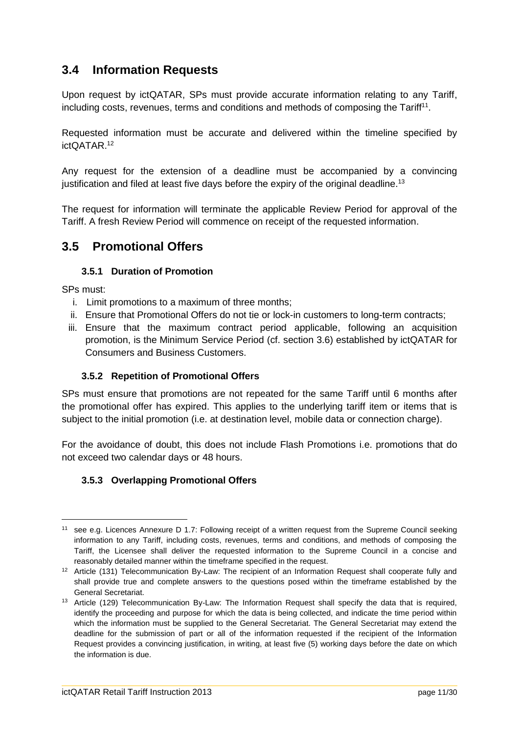## <span id="page-10-0"></span>**3.4 Information Requests**

Upon request by ictQATAR, SPs must provide accurate information relating to any Tariff. including costs, revenues, terms and conditions and methods of composing the Tariff<sup>11</sup>.

Requested information must be accurate and delivered within the timeline specified by ictQATAR.<sup>12</sup>

Any request for the extension of a deadline must be accompanied by a convincing justification and filed at least five days before the expiry of the original deadline.<sup>13</sup>

The request for information will terminate the applicable Review Period for approval of the Tariff. A fresh Review Period will commence on receipt of the requested information.

### <span id="page-10-1"></span>**3.5 Promotional Offers**

#### **3.5.1 Duration of Promotion**

<span id="page-10-2"></span>SPs must:

- i. Limit promotions to a maximum of three months;
- ii. Ensure that Promotional Offers do not tie or lock-in customers to long-term contracts;
- iii. Ensure that the maximum contract period applicable, following an acquisition promotion, is the Minimum Service Period (cf. section [3.6\)](#page-11-0) established by ictQATAR for Consumers and Business Customers.

#### <span id="page-10-3"></span>**3.5.2 Repetition of Promotional Offers**

SPs must ensure that promotions are not repeated for the same Tariff until 6 months after the promotional offer has expired. This applies to the underlying tariff item or items that is subject to the initial promotion (i.e. at destination level, mobile data or connection charge).

For the avoidance of doubt, this does not include Flash Promotions i.e. promotions that do not exceed two calendar days or 48 hours.

#### <span id="page-10-4"></span>**3.5.3 Overlapping Promotional Offers**

<sup>11</sup> see e.g. Licences Annexure D 1.7: Following receipt of a written request from the Supreme Council seeking information to any Tariff, including costs, revenues, terms and conditions, and methods of composing the Tariff, the Licensee shall deliver the requested information to the Supreme Council in a concise and reasonably detailed manner within the timeframe specified in the request.

<sup>&</sup>lt;sup>12</sup> Article (131) Telecommunication By-Law: The recipient of an Information Request shall cooperate fully and shall provide true and complete answers to the questions posed within the timeframe established by the General Secretariat.

<sup>&</sup>lt;sup>13</sup> Article (129) Telecommunication By-Law: The Information Request shall specify the data that is required, identify the proceeding and purpose for which the data is being collected, and indicate the time period within which the information must be supplied to the General Secretariat. The General Secretariat may extend the deadline for the submission of part or all of the information requested if the recipient of the Information Request provides a convincing justification, in writing, at least five (5) working days before the date on which the information is due.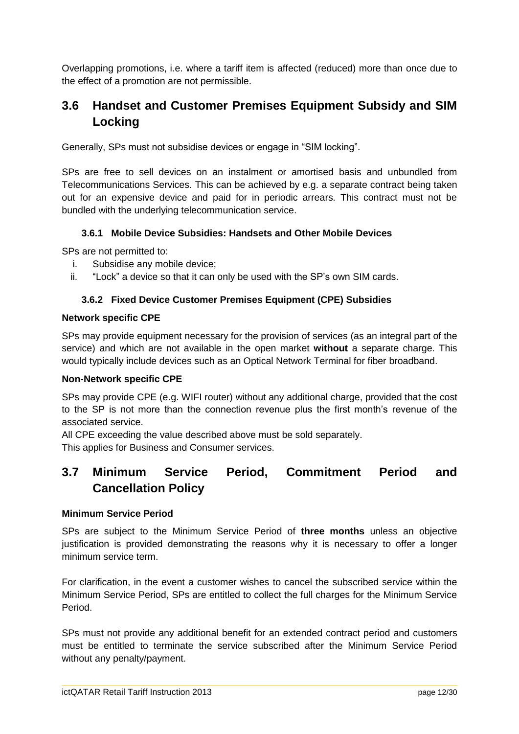Overlapping promotions, i.e. where a tariff item is affected (reduced) more than once due to the effect of a promotion are not permissible.

## <span id="page-11-0"></span>**3.6 Handset and Customer Premises Equipment Subsidy and SIM Locking**

Generally, SPs must not subsidise devices or engage in "SIM locking".

SPs are free to sell devices on an instalment or amortised basis and unbundled from Telecommunications Services. This can be achieved by e.g. a separate contract being taken out for an expensive device and paid for in periodic arrears. This contract must not be bundled with the underlying telecommunication service.

#### <span id="page-11-1"></span>**3.6.1 Mobile Device Subsidies: Handsets and Other Mobile Devices**

SPs are not permitted to:

- i. Subsidise any mobile device;
- <span id="page-11-2"></span>ii. "Lock" a device so that it can only be used with the SP's own SIM cards.

#### **3.6.2 Fixed Device Customer Premises Equipment (CPE) Subsidies**

#### **Network specific CPE**

SPs may provide equipment necessary for the provision of services (as an integral part of the service) and which are not available in the open market **without** a separate charge. This would typically include devices such as an Optical Network Terminal for fiber broadband.

#### **Non-Network specific CPE**

SPs may provide CPE (e.g. WIFI router) without any additional charge, provided that the cost to the SP is not more than the connection revenue plus the first month's revenue of the associated service.

All CPE exceeding the value described above must be sold separately. This applies for Business and Consumer services.

## <span id="page-11-3"></span>**3.7 Minimum Service Period, Commitment Period and Cancellation Policy**

#### **Minimum Service Period**

SPs are subject to the Minimum Service Period of **three months** unless an objective justification is provided demonstrating the reasons why it is necessary to offer a longer minimum service term.

For clarification, in the event a customer wishes to cancel the subscribed service within the Minimum Service Period, SPs are entitled to collect the full charges for the Minimum Service Period.

SPs must not provide any additional benefit for an extended contract period and customers must be entitled to terminate the service subscribed after the Minimum Service Period without any penalty/payment.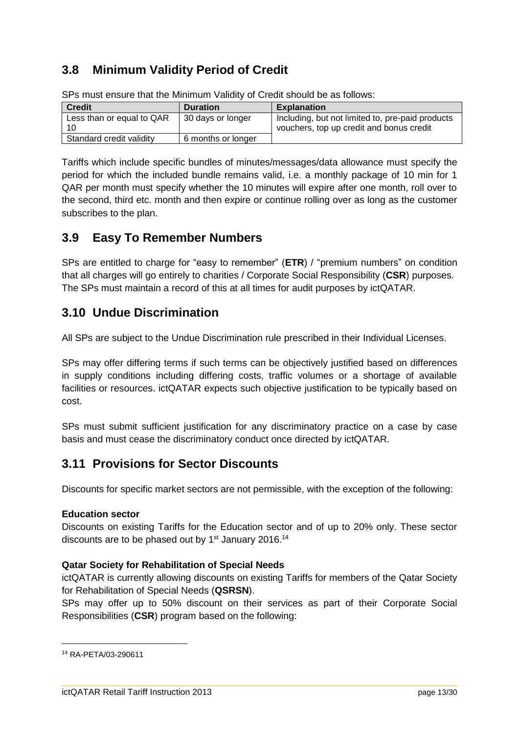## <span id="page-12-0"></span>**3.8 Minimum Validity Period of Credit**

| <b>Credit</b>             | <b>Duration</b>    | <b>Explanation</b>                               |
|---------------------------|--------------------|--------------------------------------------------|
| Less than or equal to QAR | 30 days or longer  | Including, but not limited to, pre-paid products |
| 10                        |                    | vouchers, top up credit and bonus credit         |
| Standard credit validity  | 6 months or longer |                                                  |

SPs must ensure that the Minimum Validity of Credit should be as follows:

Tariffs which include specific bundles of minutes/messages/data allowance must specify the period for which the included bundle remains valid, i.e. a monthly package of 10 min for 1 QAR per month must specify whether the 10 minutes will expire after one month, roll over to the second, third etc. month and then expire or continue rolling over as long as the customer subscribes to the plan.

## <span id="page-12-1"></span>**3.9 Easy To Remember Numbers**

SPs are entitled to charge for "easy to remember" (**ETR**) / "premium numbers" on condition that all charges will go entirely to charities / Corporate Social Responsibility (**CSR**) purposes. The SPs must maintain a record of this at all times for audit purposes by ictQATAR.

## <span id="page-12-2"></span>**3.10 Undue Discrimination**

All SPs are subject to the Undue Discrimination rule prescribed in their Individual Licenses.

SPs may offer differing terms if such terms can be objectively justified based on differences in supply conditions including differing costs, traffic volumes or a shortage of available facilities or resources. ictQATAR expects such objective justification to be typically based on cost.

SPs must submit sufficient justification for any discriminatory practice on a case by case basis and must cease the discriminatory conduct once directed by ictQATAR.

## <span id="page-12-3"></span>**3.11 Provisions for Sector Discounts**

Discounts for specific market sectors are not permissible, with the exception of the following:

#### **Education sector**

Discounts on existing Tariffs for the Education sector and of up to 20% only. These sector discounts are to be phased out by  $1<sup>st</sup>$  January 2016.<sup>14</sup>

#### **Qatar Society for Rehabilitation of Special Needs**

ictQATAR is currently allowing discounts on existing Tariffs for members of the Qatar Society for Rehabilitation of Special Needs (**QSRSN**).

SPs may offer up to 50% discount on their services as part of their Corporate Social Responsibilities (**CSR**) program based on the following:

<sup>14</sup> RA-PETA/03-290611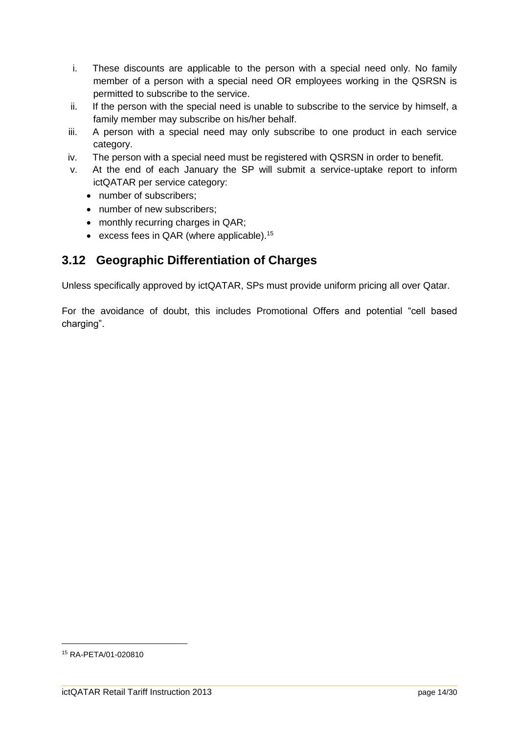- i. These discounts are applicable to the person with a special need only. No family member of a person with a special need OR employees working in the QSRSN is permitted to subscribe to the service.
- ii. If the person with the special need is unable to subscribe to the service by himself, a family member may subscribe on his/her behalf.
- iii. A person with a special need may only subscribe to one product in each service category.
- iv. The person with a special need must be registered with QSRSN in order to benefit.
- v. At the end of each January the SP will submit a service-uptake report to inform ictQATAR per service category:
	- number of subscribers:
	- number of new subscribers:
	- monthly recurring charges in QAR;
	- excess fees in QAR (where applicable).<sup>15</sup>

## <span id="page-13-0"></span>**3.12 Geographic Differentiation of Charges**

Unless specifically approved by ictQATAR, SPs must provide uniform pricing all over Qatar.

For the avoidance of doubt, this includes Promotional Offers and potential "cell based charging".

<sup>15</sup> RA-PETA/01-020810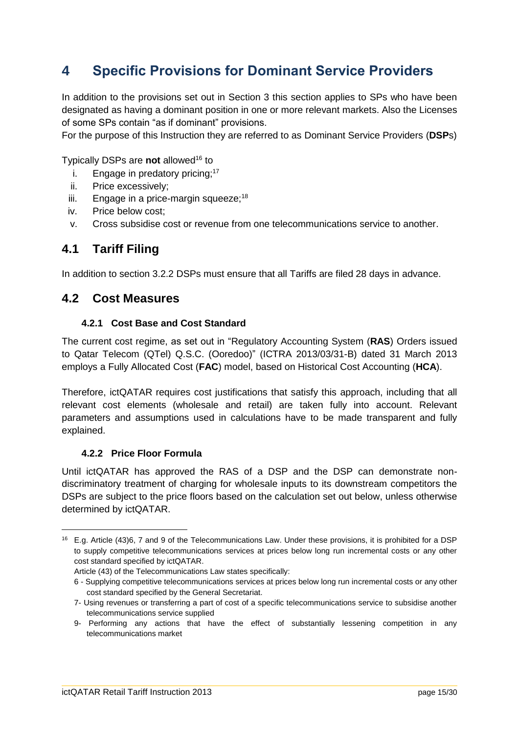# <span id="page-14-0"></span>**4 Specific Provisions for Dominant Service Providers**

In addition to the provisions set out in Section [3](#page-7-0) this section applies to SPs who have been designated as having a dominant position in one or more relevant markets. Also the Licenses of some SPs contain "as if dominant" provisions.

For the purpose of this Instruction they are referred to as Dominant Service Providers (**DSP**s)

Typically DSPs are **not** allowed<sup>16</sup> to

- i. Engage in predatory pricing;<sup>17</sup>
- ii. Price excessively;
- iii. Engage in a price-margin squeeze;<sup>18</sup>
- iv. Price below cost;
- v. Cross subsidise cost or revenue from one telecommunications service to another.

## <span id="page-14-1"></span>**4.1 Tariff Filing**

In addition to section 3.2.2 DSPs must ensure that all Tariffs are filed 28 days in advance.

### <span id="page-14-2"></span>**4.2 Cost Measures**

#### **4.2.1 Cost Base and Cost Standard**

<span id="page-14-3"></span>The current cost regime, as set out in "Regulatory Accounting System (**RAS**) Orders issued to Qatar Telecom (QTel) Q.S.C. (Ooredoo)" (ICTRA 2013/03/31-B) dated 31 March 2013 employs a Fully Allocated Cost (**FAC**) model, based on Historical Cost Accounting (**HCA**).

Therefore, ictQATAR requires cost justifications that satisfy this approach, including that all relevant cost elements (wholesale and retail) are taken fully into account. Relevant parameters and assumptions used in calculations have to be made transparent and fully explained.

#### <span id="page-14-4"></span>**4.2.2 Price Floor Formula**

 $\overline{a}$ 

Until ictQATAR has approved the RAS of a DSP and the DSP can demonstrate nondiscriminatory treatment of charging for wholesale inputs to its downstream competitors the DSPs are subject to the price floors based on the calculation set out below, unless otherwise determined by ictQATAR.

<sup>16</sup> E.g. Article (43)6, 7 and 9 of the Telecommunications Law. Under these provisions, it is prohibited for a DSP to supply competitive telecommunications services at prices below long run incremental costs or any other cost standard specified by ictQATAR.

Article (43) of the Telecommunications Law states specifically:

<sup>6 -</sup> Supplying competitive telecommunications services at prices below long run incremental costs or any other cost standard specified by the General Secretariat.

<sup>7-</sup> Using revenues or transferring a part of cost of a specific telecommunications service to subsidise another telecommunications service supplied

<sup>9-</sup> Performing any actions that have the effect of substantially lessening competition in any telecommunications market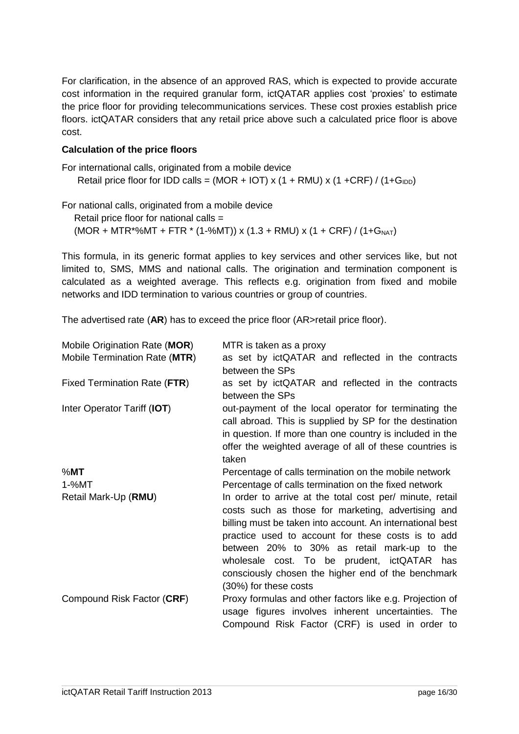For clarification, in the absence of an approved RAS, which is expected to provide accurate cost information in the required granular form, ictQATAR applies cost 'proxies' to estimate the price floor for providing telecommunications services. These cost proxies establish price floors. ictQATAR considers that any retail price above such a calculated price floor is above cost.

#### **Calculation of the price floors**

For international calls, originated from a mobile device Retail price floor for IDD calls = (MOR + IOT) x (1 + RMU) x (1 + CRF) / (1+ G<sub>IDD</sub>)

For national calls, originated from a mobile device Retail price floor for national calls =  $(MOR + MTR*%MT + FTR * (1-%MT))$  x  $(1.3 + RMU)$  x  $(1 + CRF) / (1+G<sub>NAT</sub>)$ 

This formula, in its generic format applies to key services and other services like, but not limited to, SMS, MMS and national calls. The origination and termination component is calculated as a weighted average. This reflects e.g. origination from fixed and mobile networks and IDD termination to various countries or group of countries.

The advertised rate (**AR**) has to exceed the price floor (AR>retail price floor).

| Mobile Origination Rate (MOR) | MTR is taken as a proxy                                   |
|-------------------------------|-----------------------------------------------------------|
| Mobile Termination Rate (MTR) | as set by ictQATAR and reflected in the contracts         |
|                               | between the SPs                                           |
| Fixed Termination Rate (FTR)  | as set by ictQATAR and reflected in the contracts         |
|                               | between the SPs                                           |
| Inter Operator Tariff (IOT)   | out-payment of the local operator for terminating the     |
|                               | call abroad. This is supplied by SP for the destination   |
|                               | in question. If more than one country is included in the  |
|                               | offer the weighted average of all of these countries is   |
|                               | taken                                                     |
| %MT                           | Percentage of calls termination on the mobile network     |
| $1 - %MT$                     | Percentage of calls termination on the fixed network      |
| Retail Mark-Up (RMU)          | In order to arrive at the total cost per/ minute, retail  |
|                               | costs such as those for marketing, advertising and        |
|                               | billing must be taken into account. An international best |
|                               | practice used to account for these costs is to add        |
|                               | between 20% to 30% as retail mark-up to the               |
|                               | wholesale cost. To be prudent, ictQATAR has               |
|                               | consciously chosen the higher end of the benchmark        |
|                               | (30%) for these costs                                     |
| Compound Risk Factor (CRF)    | Proxy formulas and other factors like e.g. Projection of  |
|                               | usage figures involves inherent uncertainties. The        |
|                               | Compound Risk Factor (CRF) is used in order to            |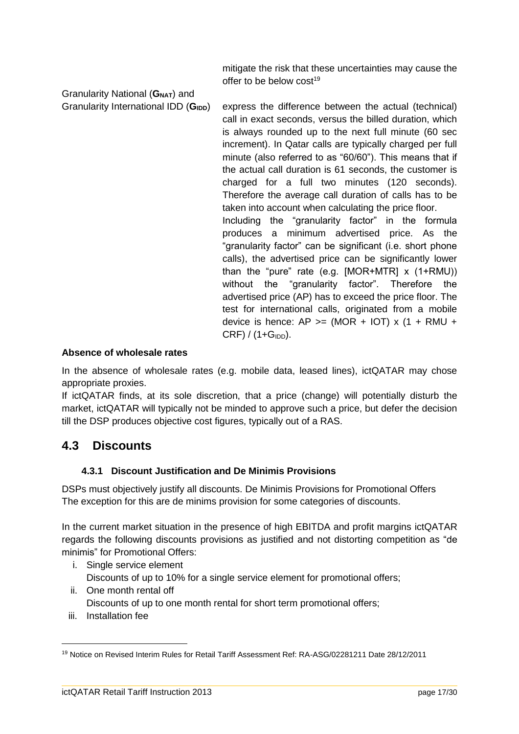mitigate the risk that these uncertainties may cause the offer to be below  $cost^{19}$ 

Granularity National (**GNAT**) and

Granularity International IDD (G<sub>IDD</sub>) express the difference between the actual (technical) call in exact seconds, versus the billed duration, which is always rounded up to the next full minute (60 sec increment). In Qatar calls are typically charged per full minute (also referred to as "60/60"). This means that if the actual call duration is 61 seconds, the customer is charged for a full two minutes (120 seconds). Therefore the average call duration of calls has to be taken into account when calculating the price floor. Including the "granularity factor" in the formula produces a minimum advertised price. As the "granularity factor" can be significant (i.e. short phone calls), the advertised price can be significantly lower than the "pure" rate (e.g.  $[MOR+MTR] \times (1+RMU)$ ) without the "granularity factor". Therefore the advertised price (AP) has to exceed the price floor. The test for international calls, originated from a mobile device is hence:  $AP \ge (MOR + IOT) \times (1 + RMU +$  $CRF$ ) / (1+ $G<sub>IDD</sub>$ ).

#### **Absence of wholesale rates**

In the absence of wholesale rates (e.g. mobile data, leased lines), ictQATAR may chose appropriate proxies.

If ictQATAR finds, at its sole discretion, that a price (change) will potentially disturb the market, ictQATAR will typically not be minded to approve such a price, but defer the decision till the DSP produces objective cost figures, typically out of a RAS.

### <span id="page-16-0"></span>**4.3 Discounts**

#### **4.3.1 Discount Justification and De Minimis Provisions**

<span id="page-16-1"></span>DSPs must objectively justify all discounts. De Minimis Provisions for Promotional Offers The exception for this are de minims provision for some categories of discounts.

In the current market situation in the presence of high EBITDA and profit margins ictQATAR regards the following discounts provisions as justified and not distorting competition as "de minimis" for Promotional Offers:

- i. Single service element
- Discounts of up to 10% for a single service element for promotional offers;
- ii. One month rental off
	- Discounts of up to one month rental for short term promotional offers;
- iii. Installation fee

<sup>19</sup> Notice on Revised Interim Rules for Retail Tariff Assessment Ref: RA-ASG/02281211 Date 28/12/2011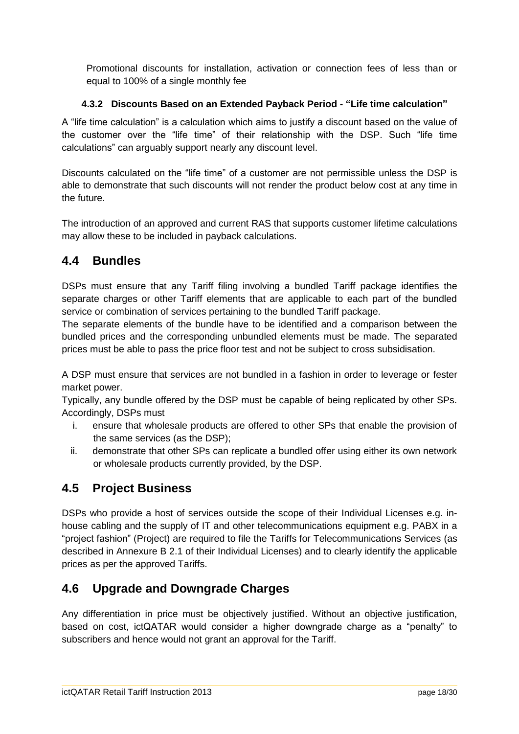Promotional discounts for installation, activation or connection fees of less than or equal to 100% of a single monthly fee

#### <span id="page-17-0"></span>**4.3.2 Discounts Based on an Extended Payback Period - "Life time calculation"**

A "life time calculation" is a calculation which aims to justify a discount based on the value of the customer over the "life time" of their relationship with the DSP. Such "life time calculations" can arguably support nearly any discount level.

Discounts calculated on the "life time" of a customer are not permissible unless the DSP is able to demonstrate that such discounts will not render the product below cost at any time in the future.

The introduction of an approved and current RAS that supports customer lifetime calculations may allow these to be included in payback calculations.

## <span id="page-17-1"></span>**4.4 Bundles**

DSPs must ensure that any Tariff filing involving a bundled Tariff package identifies the separate charges or other Tariff elements that are applicable to each part of the bundled service or combination of services pertaining to the bundled Tariff package.

The separate elements of the bundle have to be identified and a comparison between the bundled prices and the corresponding unbundled elements must be made. The separated prices must be able to pass the price floor test and not be subject to cross subsidisation.

A DSP must ensure that services are not bundled in a fashion in order to leverage or fester market power.

Typically, any bundle offered by the DSP must be capable of being replicated by other SPs. Accordingly, DSPs must

- i. ensure that wholesale products are offered to other SPs that enable the provision of the same services (as the DSP);
- ii. demonstrate that other SPs can replicate a bundled offer using either its own network or wholesale products currently provided, by the DSP.

## <span id="page-17-2"></span>**4.5 Project Business**

DSPs who provide a host of services outside the scope of their Individual Licenses e.g. inhouse cabling and the supply of IT and other telecommunications equipment e.g. PABX in a "project fashion" (Project) are required to file the Tariffs for Telecommunications Services (as described in Annexure B 2.1 of their Individual Licenses) and to clearly identify the applicable prices as per the approved Tariffs.

## <span id="page-17-3"></span>**4.6 Upgrade and Downgrade Charges**

Any differentiation in price must be objectively justified. Without an objective justification, based on cost, ictQATAR would consider a higher downgrade charge as a "penalty" to subscribers and hence would not grant an approval for the Tariff.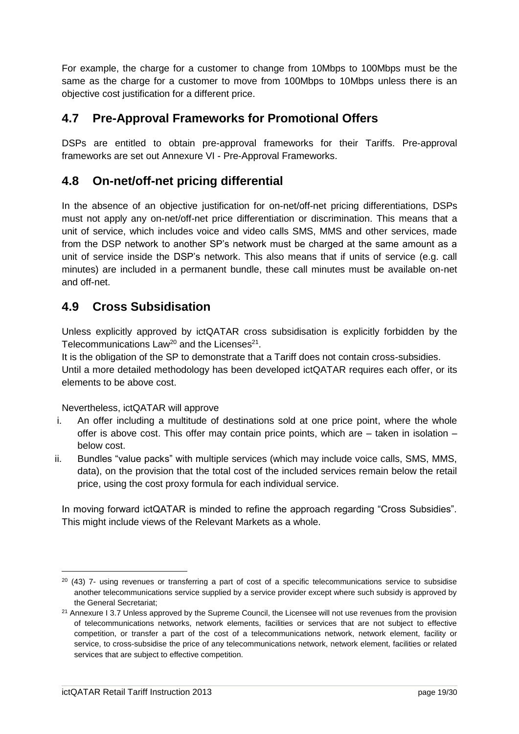For example, the charge for a customer to change from 10Mbps to 100Mbps must be the same as the charge for a customer to move from 100Mbps to 10Mbps unless there is an objective cost justification for a different price.

## <span id="page-18-0"></span>**4.7 Pre-Approval Frameworks for Promotional Offers**

DSPs are entitled to obtain pre-approval frameworks for their Tariffs. Pre-approval frameworks are set out Annexure VI - [Pre-Approval Frameworks.](#page-25-0)

### <span id="page-18-1"></span>**4.8 On-net/off-net pricing differential**

In the absence of an objective justification for on-net/off-net pricing differentiations, DSPs must not apply any on-net/off-net price differentiation or discrimination. This means that a unit of service, which includes voice and video calls SMS, MMS and other services, made from the DSP network to another SP's network must be charged at the same amount as a unit of service inside the DSP's network. This also means that if units of service (e.g. call minutes) are included in a permanent bundle, these call minutes must be available on-net and off-net.

## <span id="page-18-2"></span>**4.9 Cross Subsidisation**

Unless explicitly approved by ictQATAR cross subsidisation is explicitly forbidden by the Telecommunications Law<sup>20</sup> and the Licenses<sup>21</sup>.

It is the obligation of the SP to demonstrate that a Tariff does not contain cross-subsidies. Until a more detailed methodology has been developed ictQATAR requires each offer, or its elements to be above cost.

Nevertheless, ictQATAR will approve

- i. An offer including a multitude of destinations sold at one price point, where the whole offer is above cost. This offer may contain price points, which are – taken in isolation – below cost.
- ii. Bundles "value packs" with multiple services (which may include voice calls, SMS, MMS, data), on the provision that the total cost of the included services remain below the retail price, using the cost proxy formula for each individual service.

In moving forward ictQATAR is minded to refine the approach regarding "Cross Subsidies". This might include views of the Relevant Markets as a whole.

<sup>&</sup>lt;sup>20</sup> (43) 7- using revenues or transferring a part of cost of a specific telecommunications service to subsidise another telecommunications service supplied by a service provider except where such subsidy is approved by the General Secretariat;

<sup>&</sup>lt;sup>21</sup> Annexure I 3.7 Unless approved by the Supreme Council, the Licensee will not use revenues from the provision of telecommunications networks, network elements, facilities or services that are not subject to effective competition, or transfer a part of the cost of a telecommunications network, network element, facility or service, to cross-subsidise the price of any telecommunications network, network element, facilities or related services that are subject to effective competition.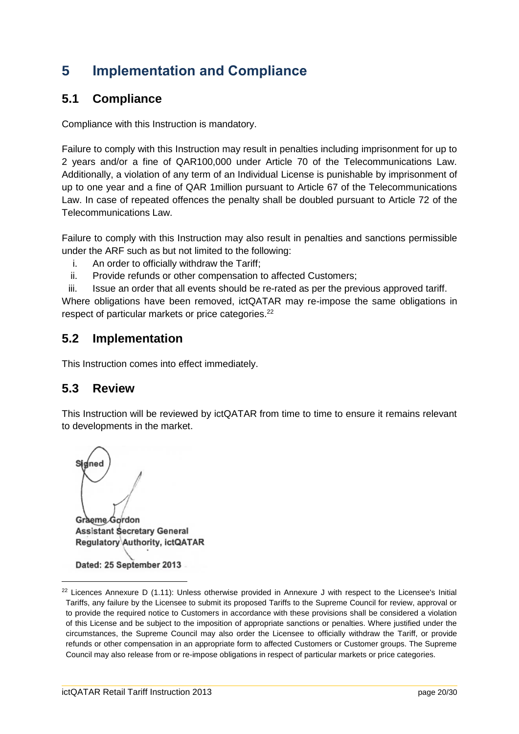# <span id="page-19-0"></span>**5 Implementation and Compliance**

## <span id="page-19-1"></span>**5.1 Compliance**

Compliance with this Instruction is mandatory.

Failure to comply with this Instruction may result in penalties including imprisonment for up to 2 years and/or a fine of QAR100,000 under Article 70 of the Telecommunications Law. Additionally, a violation of any term of an Individual License is punishable by imprisonment of up to one year and a fine of QAR 1million pursuant to Article 67 of the Telecommunications Law. In case of repeated offences the penalty shall be doubled pursuant to Article 72 of the Telecommunications Law.

Failure to comply with this Instruction may also result in penalties and sanctions permissible under the ARF such as but not limited to the following:

- i. An order to officially withdraw the Tariff;
- ii. Provide refunds or other compensation to affected Customers;

iii. Issue an order that all events should be re-rated as per the previous approved tariff. Where obligations have been removed, ictQATAR may re-impose the same obligations in respect of particular markets or price categories.<sup>22</sup>

### <span id="page-19-2"></span>**5.2 Implementation**

This Instruction comes into effect immediately.

### <span id="page-19-3"></span>**5.3 Review**

This Instruction will be reviewed by ictQATAR from time to time to ensure it remains relevant to developments in the market.

dínec Graeme Gordon **Assistant Secretary General** Regulatory Authority, ictQATAR

Dated: 25 September 2013

 $\overline{a}$ 

 $22$  Licences Annexure D (1.11): Unless otherwise provided in Annexure J with respect to the Licensee's Initial Tariffs, any failure by the Licensee to submit its proposed Tariffs to the Supreme Council for review, approval or to provide the required notice to Customers in accordance with these provisions shall be considered a violation of this License and be subject to the imposition of appropriate sanctions or penalties. Where justified under the circumstances, the Supreme Council may also order the Licensee to officially withdraw the Tariff, or provide refunds or other compensation in an appropriate form to affected Customers or Customer groups. The Supreme Council may also release from or re-impose obligations in respect of particular markets or price categories.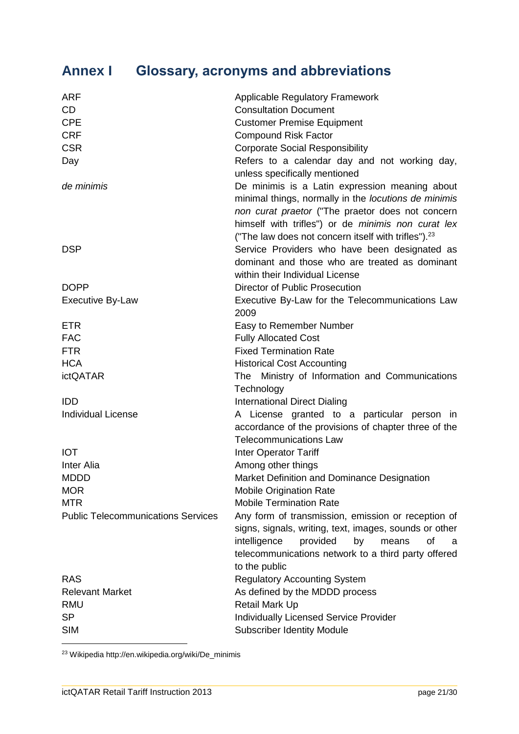# <span id="page-20-0"></span>**Annex I Glossary, acronyms and abbreviations**

| <b>ARF</b>                                | <b>Applicable Regulatory Framework</b>                                                                                                                                                                                                                                     |
|-------------------------------------------|----------------------------------------------------------------------------------------------------------------------------------------------------------------------------------------------------------------------------------------------------------------------------|
| <b>CD</b>                                 | <b>Consultation Document</b>                                                                                                                                                                                                                                               |
| <b>CPE</b>                                | <b>Customer Premise Equipment</b>                                                                                                                                                                                                                                          |
| <b>CRF</b>                                | <b>Compound Risk Factor</b>                                                                                                                                                                                                                                                |
| <b>CSR</b>                                | <b>Corporate Social Responsibility</b>                                                                                                                                                                                                                                     |
| Day                                       | Refers to a calendar day and not working day,<br>unless specifically mentioned                                                                                                                                                                                             |
| de minimis                                | De minimis is a Latin expression meaning about<br>minimal things, normally in the locutions de minimis<br>non curat praetor ("The praetor does not concern<br>himself with trifles") or de minimis non curat lex<br>("The law does not concern itself with trifles"). $23$ |
| <b>DSP</b>                                | Service Providers who have been designated as<br>dominant and those who are treated as dominant<br>within their Individual License                                                                                                                                         |
| <b>DOPP</b>                               | <b>Director of Public Prosecution</b>                                                                                                                                                                                                                                      |
| <b>Executive By-Law</b>                   | Executive By-Law for the Telecommunications Law<br>2009                                                                                                                                                                                                                    |
| <b>ETR</b>                                | Easy to Remember Number                                                                                                                                                                                                                                                    |
| <b>FAC</b>                                | <b>Fully Allocated Cost</b>                                                                                                                                                                                                                                                |
| <b>FTR</b>                                | <b>Fixed Termination Rate</b>                                                                                                                                                                                                                                              |
| <b>HCA</b>                                | <b>Historical Cost Accounting</b>                                                                                                                                                                                                                                          |
| <b>ictQATAR</b>                           | Ministry of Information and Communications<br>The<br>Technology                                                                                                                                                                                                            |
| <b>IDD</b>                                | <b>International Direct Dialing</b>                                                                                                                                                                                                                                        |
| <b>Individual License</b>                 | A License granted to a particular person in<br>accordance of the provisions of chapter three of the<br><b>Telecommunications Law</b>                                                                                                                                       |
| <b>IOT</b>                                | Inter Operator Tariff                                                                                                                                                                                                                                                      |
| <b>Inter Alia</b>                         | Among other things                                                                                                                                                                                                                                                         |
| <b>MDDD</b>                               | Market Definition and Dominance Designation                                                                                                                                                                                                                                |
| <b>MOR</b>                                | <b>Mobile Origination Rate</b>                                                                                                                                                                                                                                             |
| <b>MTR</b>                                | <b>Mobile Termination Rate</b>                                                                                                                                                                                                                                             |
| <b>Public Telecommunications Services</b> | Any form of transmission, emission or reception of<br>signs, signals, writing, text, images, sounds or other<br>intelligence<br>provided<br>by<br>means<br>οf<br>a<br>telecommunications network to a third party offered<br>to the public                                 |
| <b>RAS</b>                                | <b>Regulatory Accounting System</b>                                                                                                                                                                                                                                        |
| <b>Relevant Market</b>                    | As defined by the MDDD process                                                                                                                                                                                                                                             |
| <b>RMU</b>                                | Retail Mark Up                                                                                                                                                                                                                                                             |
| <b>SP</b>                                 | Individually Licensed Service Provider                                                                                                                                                                                                                                     |
| <b>SIM</b>                                | <b>Subscriber Identity Module</b>                                                                                                                                                                                                                                          |

<sup>23</sup> Wikipedia http://en.wikipedia.org/wiki/De\_minimis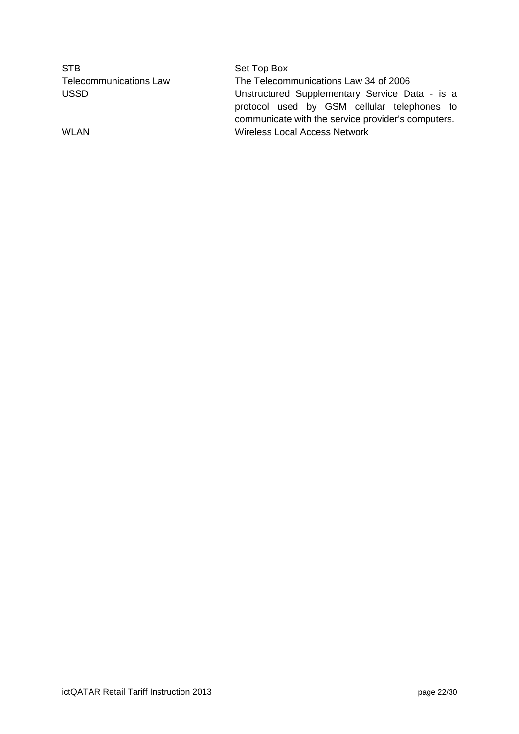| <b>STB</b>                    | Set Top Box                                                                                                                                         |
|-------------------------------|-----------------------------------------------------------------------------------------------------------------------------------------------------|
| <b>Telecommunications Law</b> | The Telecommunications Law 34 of 2006                                                                                                               |
| <b>USSD</b>                   | Unstructured Supplementary Service Data - is a<br>protocol used by GSM cellular telephones to<br>communicate with the service provider's computers. |
| WLAN                          | <b>Wireless Local Access Network</b>                                                                                                                |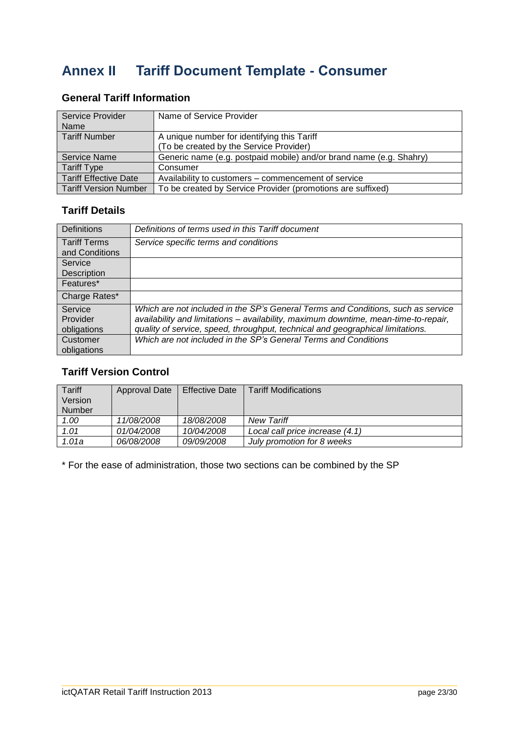# <span id="page-22-0"></span>**Annex II Tariff Document Template - Consumer**

#### **General Tariff Information**

| Service Provider<br><b>Name</b> | Name of Service Provider                                            |
|---------------------------------|---------------------------------------------------------------------|
| <b>Tariff Number</b>            | A unique number for identifying this Tariff                         |
|                                 | (To be created by the Service Provider)                             |
| <b>Service Name</b>             | Generic name (e.g. postpaid mobile) and/or brand name (e.g. Shahry) |
| <b>Tariff Type</b>              | Consumer                                                            |
| <b>Tariff Effective Date</b>    | Availability to customers – commencement of service                 |
| <b>Tariff Version Number</b>    | To be created by Service Provider (promotions are suffixed)         |

### **Tariff Details**

| <b>Definitions</b>                    | Definitions of terms used in this Tariff document                                   |
|---------------------------------------|-------------------------------------------------------------------------------------|
| <b>Tariff Terms</b><br>and Conditions | Service specific terms and conditions                                               |
| Service                               |                                                                                     |
| Description                           |                                                                                     |
| Features*                             |                                                                                     |
| Charge Rates*                         |                                                                                     |
| Service                               | Which are not included in the SP's General Terms and Conditions, such as service    |
| Provider                              | availability and limitations - availability, maximum downtime, mean-time-to-repair, |
| obligations                           | quality of service, speed, throughput, technical and geographical limitations.      |
| Customer                              | Which are not included in the SP's General Terms and Conditions                     |
| obligations                           |                                                                                     |

#### **Tariff Version Control**

| <b>Tariff</b> | Approval Date | <b>Effective Date</b> | <b>Tariff Modifications</b>     |
|---------------|---------------|-----------------------|---------------------------------|
| Version       |               |                       |                                 |
| <b>Number</b> |               |                       |                                 |
| 1.00          | 11/08/2008    | 18/08/2008            | <b>New Tariff</b>               |
| 1.01          | 01/04/2008    | 10/04/2008            | Local call price increase (4.1) |
| 1.01a         | 06/08/2008    | 09/09/2008            | July promotion for 8 weeks      |

\* For the ease of administration, those two sections can be combined by the SP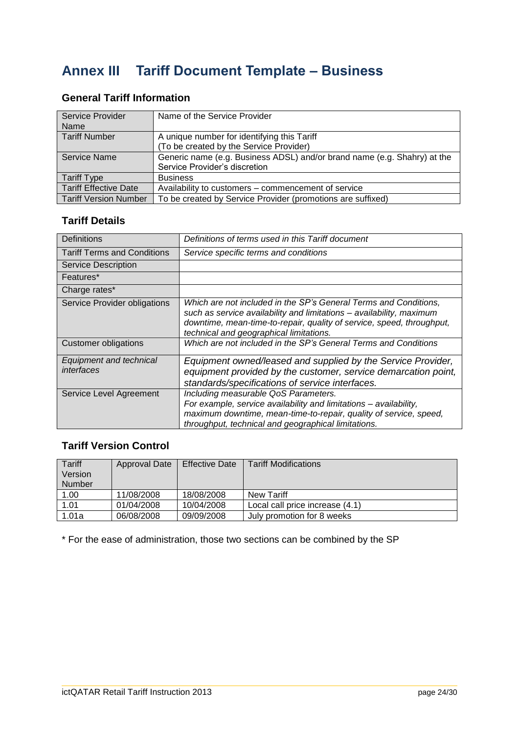# <span id="page-23-0"></span>**Annex III Tariff Document Template – Business**

## **General Tariff Information**

| Service Provider<br>Name     | Name of the Service Provider                                             |
|------------------------------|--------------------------------------------------------------------------|
| <b>Tariff Number</b>         | A unique number for identifying this Tariff                              |
|                              | (To be created by the Service Provider)                                  |
| Service Name                 | Generic name (e.g. Business ADSL) and/or brand name (e.g. Shahry) at the |
|                              | Service Provider's discretion                                            |
| <b>Tariff Type</b>           | <b>Business</b>                                                          |
| <b>Tariff Effective Date</b> | Availability to customers – commencement of service                      |
| <b>Tariff Version Number</b> | To be created by Service Provider (promotions are suffixed)              |

### **Tariff Details**

| <b>Definitions</b>                    | Definitions of terms used in this Tariff document                                                                                                                                                                                                            |
|---------------------------------------|--------------------------------------------------------------------------------------------------------------------------------------------------------------------------------------------------------------------------------------------------------------|
| <b>Tariff Terms and Conditions</b>    | Service specific terms and conditions                                                                                                                                                                                                                        |
| Service Description                   |                                                                                                                                                                                                                                                              |
| Features*                             |                                                                                                                                                                                                                                                              |
| Charge rates*                         |                                                                                                                                                                                                                                                              |
| <b>Service Provider obligations</b>   | Which are not included in the SP's General Terms and Conditions,<br>such as service availability and limitations - availability, maximum<br>downtime, mean-time-to-repair, quality of service, speed, throughput,<br>technical and geographical limitations. |
| Customer obligations                  | Which are not included in the SP's General Terms and Conditions                                                                                                                                                                                              |
| Equipment and technical<br>interfaces | Equipment owned/leased and supplied by the Service Provider,<br>equipment provided by the customer, service demarcation point,<br>standards/specifications of service interfaces.                                                                            |
| Service Level Agreement               | Including measurable QoS Parameters.<br>For example, service availability and limitations - availability,<br>maximum downtime, mean-time-to-repair, quality of service, speed,<br>throughput, technical and geographical limitations.                        |

## **Tariff Version Control**

| Tariff<br>Version | Approval Date | <b>Effective Date</b> | <b>Tariff Modifications</b>     |
|-------------------|---------------|-----------------------|---------------------------------|
| Number            |               |                       |                                 |
|                   |               |                       |                                 |
| 1.00              | 11/08/2008    | 18/08/2008            | New Tariff                      |
| 1.01              | 01/04/2008    | 10/04/2008            | Local call price increase (4.1) |
| 1.01a             | 06/08/2008    | 09/09/2008            | July promotion for 8 weeks      |

\* For the ease of administration, those two sections can be combined by the SP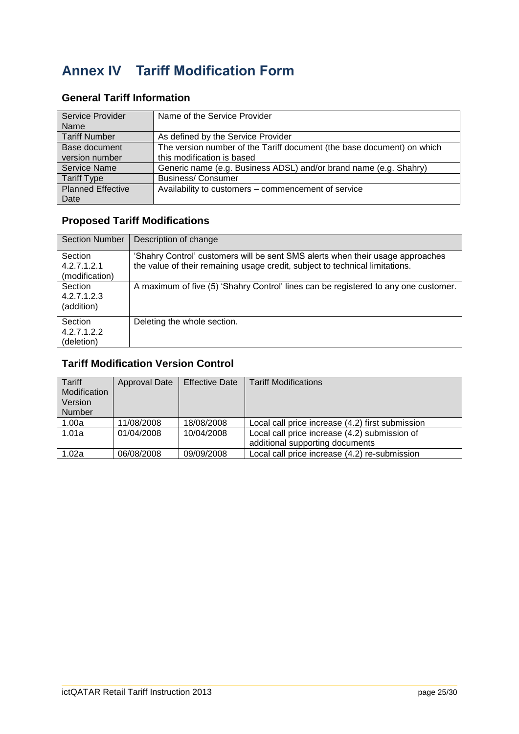# <span id="page-24-0"></span>**Annex IV Tariff Modification Form**

| <b>Service Provider</b>  | Name of the Service Provider                                           |
|--------------------------|------------------------------------------------------------------------|
| Name                     |                                                                        |
| <b>Tariff Number</b>     | As defined by the Service Provider                                     |
| Base document            | The version number of the Tariff document (the base document) on which |
| version number           | this modification is based                                             |
| <b>Service Name</b>      | Generic name (e.g. Business ADSL) and/or brand name (e.g. Shahry)      |
| <b>Tariff Type</b>       | <b>Business/Consumer</b>                                               |
| <b>Planned Effective</b> | Availability to customers – commencement of service                    |
| Date                     |                                                                        |

#### **General Tariff Information**

### **Proposed Tariff Modifications**

| <b>Section Number</b>                | Description of change                                                                                                                                          |
|--------------------------------------|----------------------------------------------------------------------------------------------------------------------------------------------------------------|
| Section<br>4.2.7.1.2.1               | 'Shahry Control' customers will be sent SMS alerts when their usage approaches<br>the value of their remaining usage credit, subject to technical limitations. |
| (modification)                       |                                                                                                                                                                |
| Section<br>4.2.7.1.2.3<br>(addition) | A maximum of five (5) 'Shahry Control' lines can be registered to any one customer.                                                                            |
| Section<br>4.2.7.1.2.2<br>(deletion) | Deleting the whole section.                                                                                                                                    |

## **Tariff Modification Version Control**

| Tariff<br>Modification<br>Version<br>Number | Approval Date | <b>Effective Date</b> | <b>Tariff Modifications</b>                                                      |
|---------------------------------------------|---------------|-----------------------|----------------------------------------------------------------------------------|
| 1.00a                                       | 11/08/2008    | 18/08/2008            | Local call price increase (4.2) first submission                                 |
| 1.01a                                       | 01/04/2008    | 10/04/2008            | Local call price increase (4.2) submission of<br>additional supporting documents |
| l 1.02a                                     | 06/08/2008    | 09/09/2008            | Local call price increase (4.2) re-submission                                    |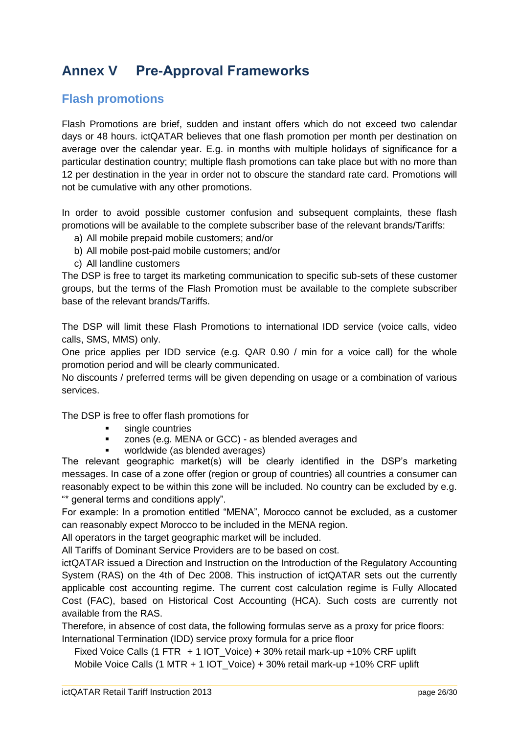# <span id="page-25-0"></span>**Annex V Pre-Approval Frameworks**

## <span id="page-25-1"></span>**Flash promotions**

Flash Promotions are brief, sudden and instant offers which do not exceed two calendar days or 48 hours. ictQATAR believes that one flash promotion per month per destination on average over the calendar year. E.g. in months with multiple holidays of significance for a particular destination country; multiple flash promotions can take place but with no more than 12 per destination in the year in order not to obscure the standard rate card. Promotions will not be cumulative with any other promotions.

In order to avoid possible customer confusion and subsequent complaints, these flash promotions will be available to the complete subscriber base of the relevant brands/Tariffs:

- a) All mobile prepaid mobile customers; and/or
- b) All mobile post-paid mobile customers; and/or
- c) All landline customers

The DSP is free to target its marketing communication to specific sub-sets of these customer groups, but the terms of the Flash Promotion must be available to the complete subscriber base of the relevant brands/Tariffs.

The DSP will limit these Flash Promotions to international IDD service (voice calls, video calls, SMS, MMS) only.

One price applies per IDD service (e.g. QAR 0.90 / min for a voice call) for the whole promotion period and will be clearly communicated.

No discounts / preferred terms will be given depending on usage or a combination of various services.

The DSP is free to offer flash promotions for

- **single countries**
- **EXEC** zones (e.g. MENA or GCC) as blended averages and
- worldwide (as blended averages)

The relevant geographic market(s) will be clearly identified in the DSP's marketing messages. In case of a zone offer (region or group of countries) all countries a consumer can reasonably expect to be within this zone will be included. No country can be excluded by e.g. "\* general terms and conditions apply".

For example: In a promotion entitled "MENA", Morocco cannot be excluded, as a customer can reasonably expect Morocco to be included in the MENA region.

All operators in the target geographic market will be included.

All Tariffs of Dominant Service Providers are to be based on cost.

ictQATAR issued a Direction and Instruction on the Introduction of the Regulatory Accounting System (RAS) on the 4th of Dec 2008. This instruction of ictQATAR sets out the currently applicable cost accounting regime. The current cost calculation regime is Fully Allocated Cost (FAC), based on Historical Cost Accounting (HCA). Such costs are currently not available from the RAS.

Therefore, in absence of cost data, the following formulas serve as a proxy for price floors: International Termination (IDD) service proxy formula for a price floor

Fixed Voice Calls (1 FTR + 1 IOT\_Voice) + 30% retail mark-up +10% CRF uplift Mobile Voice Calls (1 MTR + 1 IOT\_Voice) + 30% retail mark-up +10% CRF uplift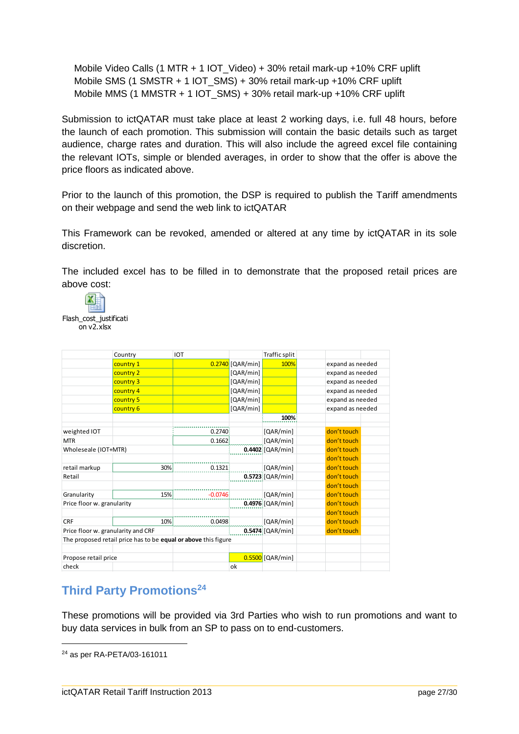Mobile Video Calls (1 MTR + 1 IOT\_Video) + 30% retail mark-up +10% CRF uplift Mobile SMS (1 SMSTR + 1 IOT\_SMS) + 30% retail mark-up +10% CRF uplift Mobile MMS (1 MMSTR + 1 IOT\_SMS) + 30% retail mark-up +10% CRF uplift

Submission to ictQATAR must take place at least 2 working days, i.e. full 48 hours, before the launch of each promotion. This submission will contain the basic details such as target audience, charge rates and duration. This will also include the agreed excel file containing the relevant IOTs, simple or blended averages, in order to show that the offer is above the price floors as indicated above.

Prior to the launch of this promotion, the DSP is required to publish the Tariff amendments on their webpage and send the web link to ictQATAR

This Framework can be revoked, amended or altered at any time by ictQATAR in its sole discretion.

The included excel has to be filled in to demonstrate that the proposed retail prices are above cost:



on v2.xlsx

|                                    | Country                                                        | <b>IOT</b> |                  | Traffic split      |                  |
|------------------------------------|----------------------------------------------------------------|------------|------------------|--------------------|------------------|
|                                    | country 1                                                      |            | 0.2740 [QAR/min] | 100%               | expand as needed |
|                                    | country 2                                                      |            | [QAR/min]        |                    | expand as needed |
|                                    | country 3                                                      |            | [QAR/min]        |                    | expand as needed |
|                                    | country 4                                                      |            | [QAR/min]        |                    | expand as needed |
|                                    | country 5                                                      |            | [QAR/min]        |                    | expand as needed |
|                                    | country 6                                                      |            | [QAR/min]        |                    | expand as needed |
|                                    |                                                                |            |                  | 100%               |                  |
| weighted IOT                       |                                                                | 0.2740     |                  | [QAR/min]          | don't touch      |
| <b>MTR</b>                         |                                                                | 0.1662     |                  | [QAR/min]          | don't touch      |
| Wholeseale (IOT+MTR)               |                                                                |            |                  | $0.4402$ [QAR/min] | don't touch      |
|                                    |                                                                |            |                  |                    | don't touch      |
| retail markup                      | 30%                                                            | 0.1321     |                  | [QAR/min]          | don't touch      |
| Retail                             |                                                                |            |                  | $0.5723$ [QAR/min] | don't touch      |
|                                    |                                                                |            |                  |                    | don't touch      |
| Granularity                        | 15%                                                            | $-0.0746$  |                  | [QAR/min]          | don't touch      |
| Price floor w. granularity         |                                                                |            |                  | $0.4976$ [QAR/min] | don't touch      |
|                                    |                                                                |            |                  |                    | don't touch      |
| <b>CRF</b>                         | 10%                                                            | 0.0498     |                  | [QAR/min]          | don't touch      |
| Price floor w. granularity and CRF |                                                                |            |                  | $0.5474$ [QAR/min] | don't touch      |
|                                    | The proposed retail price has to be equal or above this figure |            |                  |                    |                  |
| Propose retail price               |                                                                |            |                  | $0.5500$ [QAR/min] |                  |
| check                              |                                                                |            | ok               |                    |                  |

## <span id="page-26-0"></span>**Third Party Promotions<sup>24</sup>**

These promotions will be provided via 3rd Parties who wish to run promotions and want to buy data services in bulk from an SP to pass on to end-customers.

<sup>24</sup> as per RA-PETA/03-161011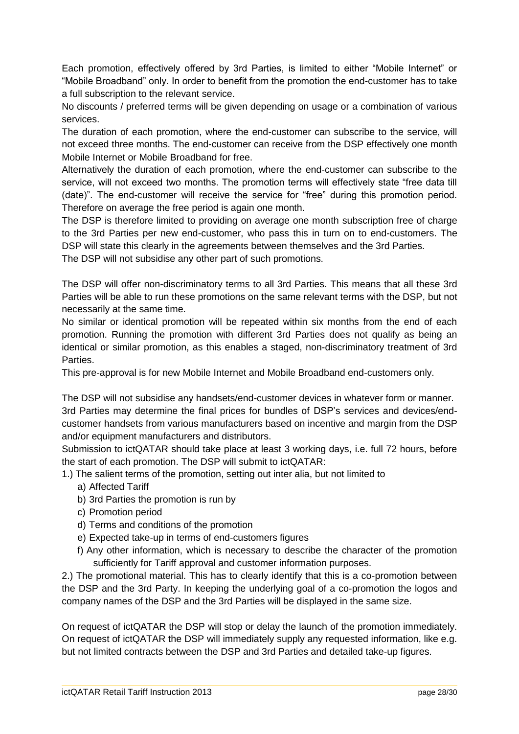Each promotion, effectively offered by 3rd Parties, is limited to either "Mobile Internet" or "Mobile Broadband" only. In order to benefit from the promotion the end-customer has to take a full subscription to the relevant service.

No discounts / preferred terms will be given depending on usage or a combination of various services.

The duration of each promotion, where the end-customer can subscribe to the service, will not exceed three months. The end-customer can receive from the DSP effectively one month Mobile Internet or Mobile Broadband for free.

Alternatively the duration of each promotion, where the end-customer can subscribe to the service, will not exceed two months. The promotion terms will effectively state "free data till (date)". The end-customer will receive the service for "free" during this promotion period. Therefore on average the free period is again one month.

The DSP is therefore limited to providing on average one month subscription free of charge to the 3rd Parties per new end-customer, who pass this in turn on to end-customers. The DSP will state this clearly in the agreements between themselves and the 3rd Parties.

The DSP will not subsidise any other part of such promotions.

The DSP will offer non-discriminatory terms to all 3rd Parties. This means that all these 3rd Parties will be able to run these promotions on the same relevant terms with the DSP, but not necessarily at the same time.

No similar or identical promotion will be repeated within six months from the end of each promotion. Running the promotion with different 3rd Parties does not qualify as being an identical or similar promotion, as this enables a staged, non-discriminatory treatment of 3rd Parties.

This pre-approval is for new Mobile Internet and Mobile Broadband end-customers only.

The DSP will not subsidise any handsets/end-customer devices in whatever form or manner. 3rd Parties may determine the final prices for bundles of DSP's services and devices/endcustomer handsets from various manufacturers based on incentive and margin from the DSP and/or equipment manufacturers and distributors.

Submission to ictQATAR should take place at least 3 working days, i.e. full 72 hours, before the start of each promotion. The DSP will submit to ictQATAR:

- 1.) The salient terms of the promotion, setting out inter alia, but not limited to
	- a) Affected Tariff
	- b) 3rd Parties the promotion is run by
	- c) Promotion period
	- d) Terms and conditions of the promotion
	- e) Expected take-up in terms of end-customers figures
	- f) Any other information, which is necessary to describe the character of the promotion sufficiently for Tariff approval and customer information purposes.

2.) The promotional material. This has to clearly identify that this is a co-promotion between the DSP and the 3rd Party. In keeping the underlying goal of a co-promotion the logos and company names of the DSP and the 3rd Parties will be displayed in the same size.

On request of ictQATAR the DSP will stop or delay the launch of the promotion immediately. On request of ictQATAR the DSP will immediately supply any requested information, like e.g. but not limited contracts between the DSP and 3rd Parties and detailed take-up figures.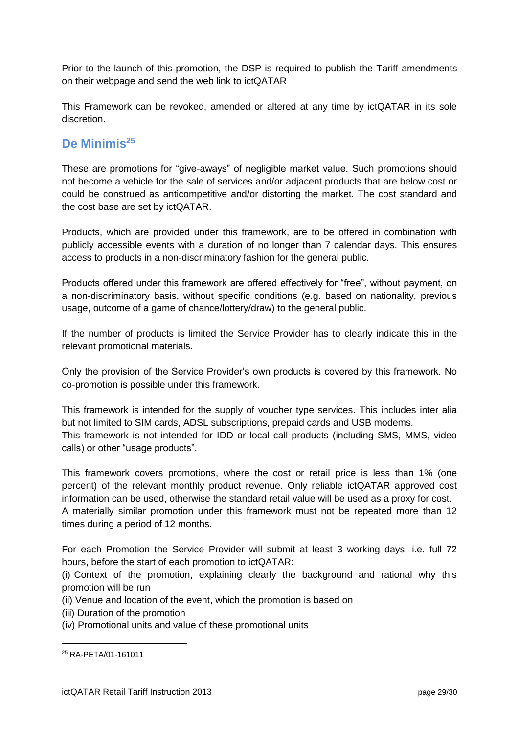Prior to the launch of this promotion, the DSP is required to publish the Tariff amendments on their webpage and send the web link to ictQATAR

This Framework can be revoked, amended or altered at any time by ictQATAR in its sole discretion.

## <span id="page-28-0"></span>**De Minimis<sup>25</sup>**

These are promotions for "give-aways" of negligible market value. Such promotions should not become a vehicle for the sale of services and/or adjacent products that are below cost or could be construed as anticompetitive and/or distorting the market. The cost standard and the cost base are set by ictQATAR.

Products, which are provided under this framework, are to be offered in combination with publicly accessible events with a duration of no longer than 7 calendar days. This ensures access to products in a non-discriminatory fashion for the general public.

Products offered under this framework are offered effectively for "free", without payment, on a non-discriminatory basis, without specific conditions (e.g. based on nationality, previous usage, outcome of a game of chance/lottery/draw) to the general public.

If the number of products is limited the Service Provider has to clearly indicate this in the relevant promotional materials.

Only the provision of the Service Provider's own products is covered by this framework. No co-promotion is possible under this framework.

This framework is intended for the supply of voucher type services. This includes inter alia but not limited to SIM cards, ADSL subscriptions, prepaid cards and USB modems. This framework is not intended for IDD or local call products (including SMS, MMS, video calls) or other "usage products".

This framework covers promotions, where the cost or retail price is less than 1% (one percent) of the relevant monthly product revenue. Only reliable ictQATAR approved cost information can be used, otherwise the standard retail value will be used as a proxy for cost.

A materially similar promotion under this framework must not be repeated more than 12 times during a period of 12 months.

For each Promotion the Service Provider will submit at least 3 working days, i.e. full 72 hours, before the start of each promotion to ictQATAR:

(i) Context of the promotion, explaining clearly the background and rational why this promotion will be run

- (ii) Venue and location of the event, which the promotion is based on
- (iii) Duration of the promotion
- (iv) Promotional units and value of these promotional units

<sup>25</sup> RA-PETA/01-161011